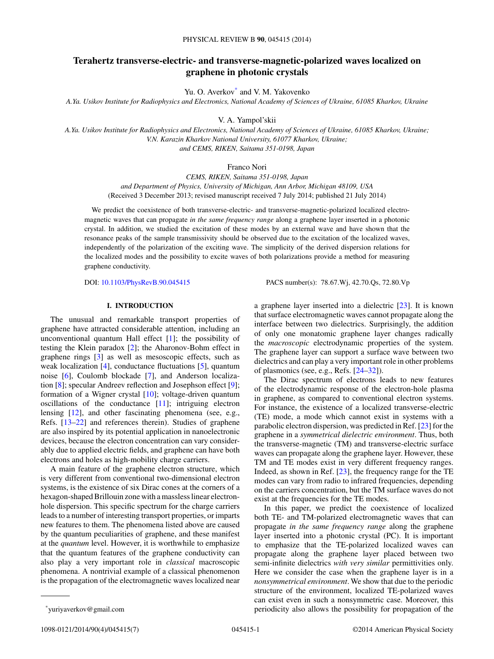# **Terahertz transverse-electric- and transverse-magnetic-polarized waves localized on graphene in photonic crystals**

Yu. O. Averkov\* and V. M. Yakovenko

*A.Ya. Usikov Institute for Radiophysics and Electronics, National Academy of Sciences of Ukraine, 61085 Kharkov, Ukraine*

V. A. Yampol'skii

*A.Ya. Usikov Institute for Radiophysics and Electronics, National Academy of Sciences of Ukraine, 61085 Kharkov, Ukraine; V.N. Karazin Kharkov National University, 61077 Kharkov, Ukraine; and CEMS, RIKEN, Saitama 351-0198, Japan*

Franco Nori

*CEMS, RIKEN, Saitama 351-0198, Japan and Department of Physics, University of Michigan, Ann Arbor, Michigan 48109, USA* (Received 3 December 2013; revised manuscript received 7 July 2014; published 21 July 2014)

We predict the coexistence of both transverse-electric- and transverse-magnetic-polarized localized electromagnetic waves that can propagate *in the same frequency range* along a graphene layer inserted in a photonic crystal. In addition, we studied the excitation of these modes by an external wave and have shown that the resonance peaks of the sample transmissivity should be observed due to the excitation of the localized waves, independently of the polarization of the exciting wave. The simplicity of the derived dispersion relations for the localized modes and the possibility to excite waves of both polarizations provide a method for measuring graphene conductivity.

DOI: [10.1103/PhysRevB.90.045415](http://dx.doi.org/10.1103/PhysRevB.90.045415) PACS number(s): 78*.*67*.*Wj*,* 42*.*70*.*Qs*,* 72*.*80*.*Vp

# **I. INTRODUCTION**

The unusual and remarkable transport properties of graphene have attracted considerable attention, including an unconventional quantum Hall effect [\[1\]](#page-6-0); the possibility of testing the Klein paradox [\[2\]](#page-6-0); the Aharonov-Bohm effect in graphene rings [\[3\]](#page-6-0) as well as mesoscopic effects, such as weak localization [\[4\]](#page-6-0), conductance fluctuations [\[5\]](#page-6-0), quantum noise [\[6\]](#page-6-0), Coulomb blockade [\[7\]](#page-6-0), and Anderson localization [\[8\]](#page-6-0); specular Andreev reflection and Josephson effect [\[9\]](#page-6-0); formation of a Wigner crystal [\[10\]](#page-6-0); voltage-driven quantum oscillations of the conductance [\[11\]](#page-6-0); intriguing electron lensing [\[12\]](#page-6-0), and other fascinating phenomena (see, e.g., Refs. [\[13–22\]](#page-6-0) and references therein). Studies of graphene are also inspired by its potential application in nanoelectronic devices, because the electron concentration can vary considerably due to applied electric fields, and graphene can have both electrons and holes as high-mobility charge carriers.

A main feature of the graphene electron structure, which is very different from conventional two-dimensional electron systems, is the existence of six Dirac cones at the corners of a hexagon-shaped Brillouin zone with a massless linear electronhole dispersion. This specific spectrum for the charge carriers leads to a number of interesting transport properties, or imparts new features to them. The phenomena listed above are caused by the quantum peculiarities of graphene, and these manifest at the *quantum* level. However, it is worthwhile to emphasize that the quantum features of the graphene conductivity can also play a very important role in *classical* macroscopic phenomena. A nontrivial example of a classical phenomenon is the propagation of the electromagnetic waves localized near

a graphene layer inserted into a dielectric [\[23\]](#page-6-0). It is known that surface electromagnetic waves cannot propagate along the interface between two dielectrics. Surprisingly, the addition of only one monatomic graphene layer changes radically the *macroscopic* electrodynamic properties of the system. The graphene layer can support a surface wave between two dielectrics and can play a very important role in other problems of plasmonics (see, e.g., Refs. [\[24–32\]](#page-6-0)).

The Dirac spectrum of electrons leads to new features of the electrodynamic response of the electron-hole plasma in graphene, as compared to conventional electron systems. For instance, the existence of a localized transverse-electric (TE) mode, a mode which cannot exist in systems with a parabolic electron dispersion, was predicted in Ref. [\[23\]](#page-6-0) for the graphene in a *symmetrical dielectric environment*. Thus, both the transverse-magnetic (TM) and transverse-electric surface waves can propagate along the graphene layer. However, these TM and TE modes exist in very different frequency ranges. Indeed, as shown in Ref. [\[23\]](#page-6-0), the frequency range for the TE modes can vary from radio to infrared frequencies, depending on the carriers concentration, but the TM surface waves do not exist at the frequencies for the TE modes.

In this paper, we predict the coexistence of localized both TE- and TM-polarized electromagnetic waves that can propagate *in the same frequency range* along the graphene layer inserted into a photonic crystal (PC). It is important to emphasize that the TE-polarized localized waves can propagate along the graphene layer placed between two semi-infinite dielectrics *with very similar* permittivities only. Here we consider the case when the graphene layer is in a *nonsymmetrical environment*. We show that due to the periodic structure of the environment, localized TE-polarized waves can exist even in such a nonsymmetric case. Moreover, this periodicity also allows the possibility for propagation of the

<sup>\*</sup>yuriyaverkov@gmail.com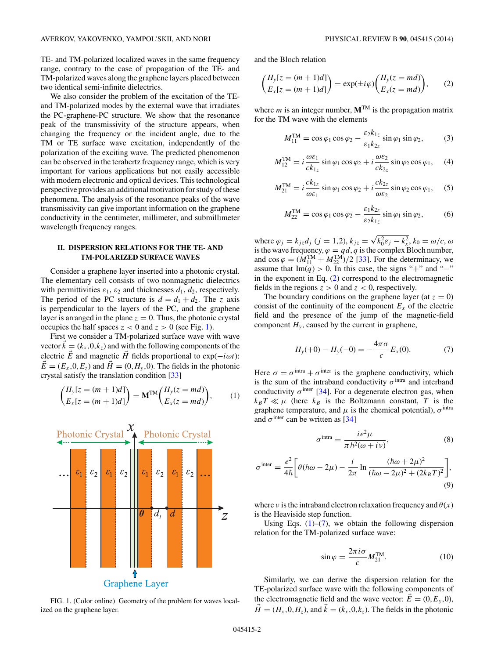<span id="page-1-0"></span>TE- and TM-polarized localized waves in the same frequency range, contrary to the case of propagation of the TE- and TM-polarized waves along the graphene layers placed between two identical semi-infinite dielectrics.

We also consider the problem of the excitation of the TEand TM-polarized modes by the external wave that irradiates the PC-graphene-PC structure. We show that the resonance peak of the transmissivity of the structure appears, when changing the frequency or the incident angle, due to the TM or TE surface wave excitation, independently of the polarization of the exciting wave. The predicted phenomenon can be observed in the terahertz frequency range, which is very important for various applications but not easily accessible with modern electronic and optical devices. This technological perspective provides an additional motivation for study of these phenomena. The analysis of the resonance peaks of the wave transmissivity can give important information on the graphene conductivity in the centimeter, millimeter, and submillimeter wavelength frequency ranges.

# **II. DISPERSION RELATIONS FOR THE TE- AND TM-POLARIZED SURFACE WAVES**

Consider a graphene layer inserted into a photonic crystal. The elementary cell consists of two nonmagnetic dielectrics with permittivities  $\varepsilon_1$ ,  $\varepsilon_2$  and thicknesses  $d_1$ ,  $d_2$ , respectively. The period of the PC structure is  $d = d_1 + d_2$ . The *z* axis is perpendicular to the layers of the PC, and the graphene layer is arranged in the plane  $z = 0$ . Thus, the photonic crystal occupies the half spaces  $z < 0$  and  $z > 0$  (see Fig. 1).

First we consider a TM-polarized surface wave with wave vector  $\vec{k} = (k_x, 0, k_z)$  and with the following components of the electric  $\vec{E}$  and magnetic  $\vec{H}$  fields proportional to exp( $-i\omega t$ ):  $\vec{E} = (E_x, 0, E_z)$  and  $\vec{H} = (0, H_y, 0)$ . The fields in the photonic crystal satisfy the translation condition [\[33\]](#page-6-0)

$$
\begin{pmatrix} H_y[z = (m+1)d] \\ E_x[z = (m+1)d] \end{pmatrix} = \mathbf{M}^{\text{TM}} \begin{pmatrix} H_y(z = md) \\ E_x(z = md) \end{pmatrix}, \qquad (1)
$$



FIG. 1. (Color online) Geometry of the problem for waves localized on the graphene layer.

and the Bloch relation

$$
\begin{pmatrix} H_y[z = (m+1)d] \\ E_x[z = (m+1)d] \end{pmatrix} = \exp(\pm i\varphi) \begin{pmatrix} H_y(z = md) \\ E_x(z = md) \end{pmatrix}, \qquad (2)
$$

where *m* is an integer number,  $M^{TM}$  is the propagation matrix for the TM wave with the elements

$$
M_{11}^{\text{TM}} = \cos \varphi_1 \cos \varphi_2 - \frac{\varepsilon_2 k_{1z}}{\varepsilon_1 k_{2z}} \sin \varphi_1 \sin \varphi_2, \tag{3}
$$

$$
M_{12}^{\text{TM}} = i \frac{\omega \varepsilon_1}{c k_{1z}} \sin \varphi_1 \cos \varphi_2 + i \frac{\omega \varepsilon_2}{c k_{2z}} \sin \varphi_2 \cos \varphi_1, \quad (4)
$$

$$
M_{21}^{\text{TM}} = i \frac{ck_{1z}}{\omega \varepsilon_1} \sin \varphi_1 \cos \varphi_2 + i \frac{ck_{2z}}{\omega \varepsilon_2} \sin \varphi_2 \cos \varphi_1, \quad (5)
$$

$$
M_{22}^{\text{TM}} = \cos \varphi_1 \cos \varphi_2 - \frac{\varepsilon_1 k_{2z}}{\varepsilon_2 k_{1z}} \sin \varphi_1 \sin \varphi_2, \qquad (6)
$$

where  $\varphi_j = k_{jz}d_j$  (*j* = 1,2),  $k_{jz} = \sqrt{k_0^2 \varepsilon_j - k_x^2}$ ,  $k_0 = \omega/c$ ,  $\omega$ is the wave frequency,  $\varphi = qd$ , *q* is the complex Bloch number, and  $\cos \varphi = (M_{11}^{TM} + M_{22}^{TM})/2$  [\[33\]](#page-6-0). For the determinacy, we assume that Im( $q$ ) > 0. In this case, the signs "+" and "−" in the exponent in Eq.  $(2)$  correspond to the electromagnetic fields in the regions  $z > 0$  and  $z < 0$ , respectively.

The boundary conditions on the graphene layer (at  $z = 0$ ) consist of the continuity of the component  $E<sub>x</sub>$  of the electric field and the presence of the jump of the magnetic-field component  $H<sub>v</sub>$ , caused by the current in graphene,

$$
H_y(+0) - H_y(-0) = -\frac{4\pi\sigma}{c} E_x(0). \tag{7}
$$

Here  $\sigma = \sigma^{\text{intra}} + \sigma^{\text{inter}}$  is the graphene conductivity, which is the sum of the intraband conductivity  $\sigma$ <sup>intra</sup> and interband conductivity  $\sigma^{\text{inter}}$  [\[34\]](#page-6-0). For a degenerate electron gas, when  $k_B T \ll \mu$  (here  $k_B$  is the Boltzmann constant, *T* is the graphene temperature, and  $\mu$  is the chemical potential),  $\sigma$ <sup>intra</sup> and  $\sigma$ <sup>inter</sup> can be written as [\[34\]](#page-6-0)

$$
\sigma^{\text{intra}} = \frac{i e^2 \mu}{\pi \hbar^2 (\omega + i v)},\tag{8}
$$

$$
\sigma^{\text{inter}} = \frac{e^2}{4\hbar} \bigg[ \theta(\hbar\omega - 2\mu) - \frac{i}{2\pi} \ln \frac{(\hbar\omega + 2\mu)^2}{(\hbar\omega - 2\mu)^2 + (2k_BT)^2} \bigg],\tag{9}
$$

where *ν* is the intraband electron relaxation frequency and  $\theta(x)$ is the Heaviside step function.

Using Eqs.  $(1)$ – $(7)$ , we obtain the following dispersion relation for the TM-polarized surface wave:

$$
\sin \varphi = \frac{2\pi i \sigma}{c} M_{21}^{\text{TM}}.
$$
 (10)

Similarly, we can derive the dispersion relation for the TE-polarized surface wave with the following components of the electromagnetic field and the wave vector:  $\vec{E} = (0, E_y, 0)$ ,  $\vec{H} = (H_x, 0, H_z)$ , and  $\vec{k} = (k_x, 0, k_z)$ . The fields in the photonic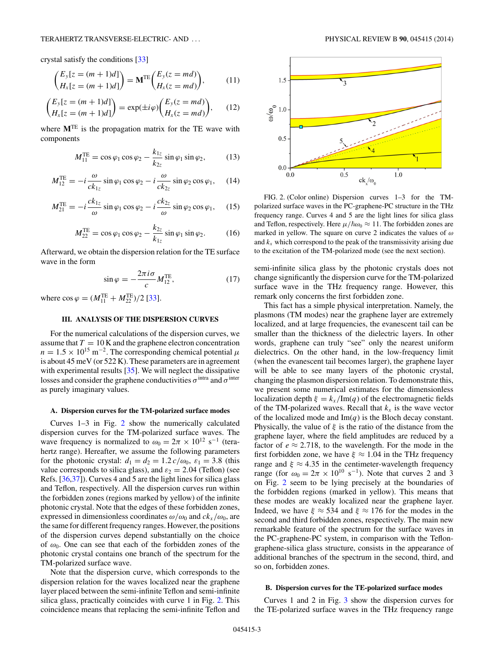<span id="page-2-0"></span>crystal satisfy the conditions [\[33\]](#page-6-0)

$$
\begin{pmatrix} E_y[z = (m+1)d] \\ H_x[z = (m+1)d] \end{pmatrix} = \mathbf{M}^{TE} \begin{pmatrix} E_y(z = md) \\ H_x(z = md) \end{pmatrix}, \tag{11}
$$

$$
\begin{pmatrix} E_y[z = (m+1)d] \\ H_x[z = (m+1)d] \end{pmatrix} = \exp(\pm i\varphi) \begin{pmatrix} E_y(z = md) \\ H_x(z = md) \end{pmatrix}, \qquad (12)
$$

where  $M<sup>TE</sup>$  is the propagation matrix for the TE wave with components

$$
M_{11}^{TE} = \cos\varphi_1 \cos\varphi_2 - \frac{k_{1z}}{k_{2z}} \sin\varphi_1 \sin\varphi_2, \qquad (13)
$$

$$
M_{12}^{\text{TE}} = -i \frac{\omega}{ck_{1z}} \sin \varphi_1 \cos \varphi_2 - i \frac{\omega}{ck_{2z}} \sin \varphi_2 \cos \varphi_1, \quad (14)
$$

$$
M_{21}^{\text{TE}} = -i \frac{ck_{1z}}{\omega} \sin \varphi_1 \cos \varphi_2 - i \frac{ck_{2z}}{\omega} \sin \varphi_2 \cos \varphi_1, \quad (15)
$$

$$
M_{22}^{\text{TE}} = \cos \varphi_1 \cos \varphi_2 - \frac{k_{2z}}{k_{1z}} \sin \varphi_1 \sin \varphi_2. \tag{16}
$$

Afterward, we obtain the dispersion relation for the TE surface wave in the form

$$
\sin \varphi = -\frac{2\pi i \sigma}{c} M_{12}^{\text{TE}}, \tag{17}
$$

where  $\cos \varphi = (M_{11}^{\text{TE}} + M_{22}^{\text{TE}})/2$  [\[33\]](#page-6-0).

### **III. ANALYSIS OF THE DISPERSION CURVES**

For the numerical calculations of the dispersion curves, we assume that  $T = 10$  K and the graphene electron concentration  $n = 1.5 \times 10^{15} \text{ m}^{-2}$ . The corresponding chemical potential  $\mu$ is about 45 meV (or 522 K). These parameters are in agreement with experimental results [\[35\]](#page-6-0). We will neglect the dissipative losses and consider the graphene conductivities  $\sigma$ <sup>intra</sup> and  $\sigma$ <sup>inter</sup> as purely imaginary values.

#### **A. Dispersion curves for the TM-polarized surface modes**

Curves 1–3 in Fig. 2 show the numerically calculated dispersion curves for the TM-polarized surface waves. The wave frequency is normalized to  $\omega_0 = 2\pi \times 10^{12} \text{ s}^{-1}$  (terahertz range). Hereafter, we assume the following parameters for the photonic crystal:  $d_1 = d_2 = 1.2 c/\omega_0$ ,  $\varepsilon_1 = 3.8$  (this value corresponds to silica glass), and  $\varepsilon_2 = 2.04$  (Teflon) (see Refs. [\[36,37\]](#page-6-0)). Curves 4 and 5 are the light lines for silica glass and Teflon, respectively. All the dispersion curves run within the forbidden zones (regions marked by yellow) of the infinite photonic crystal. Note that the edges of these forbidden zones, expressed in dimensionless coordinates  $\omega/\omega_0$  and  $ck_x/\omega_0$ , are the same for different frequency ranges. However, the positions of the dispersion curves depend substantially on the choice of *ω*0. One can see that each of the forbidden zones of the photonic crystal contains one branch of the spectrum for the TM-polarized surface wave.

Note that the dispersion curve, which corresponds to the dispersion relation for the waves localized near the graphene layer placed between the semi-infinite Teflon and semi-infinite silica glass, practically coincides with curve 1 in Fig. 2. This coincidence means that replacing the semi-infinite Teflon and



FIG. 2. (Color online) Dispersion curves 1–3 for the TMpolarized surface waves in the PC-graphene-PC structure in the THz frequency range. Curves 4 and 5 are the light lines for silica glass and Teflon, respectively. Here  $\mu/\hbar\omega_0 \approx 11$ . The forbidden zones are marked in yellow. The square on curve 2 indicates the values of *ω* and  $k_x$  which correspond to the peak of the transmissivity arising due to the excitation of the TM-polarized mode (see the next section).

semi-infinite silica glass by the photonic crystals does not change significantly the dispersion curve for the TM-polarized surface wave in the THz frequency range. However, this remark only concerns the first forbidden zone.

This fact has a simple physical interpretation. Namely, the plasmons (TM modes) near the graphene layer are extremely localized, and at large frequencies, the evanescent tail can be smaller than the thickness of the dielectric layers. In other words, graphene can truly "see" only the nearest uniform dielectrics. On the other hand, in the low-frequency limit (when the evanescent tail becomes larger), the graphene layer will be able to see many layers of the photonic crystal, changing the plasmon dispersion relation. To demonstrate this, we present some numerical estimates for the dimensionless localization depth  $\xi = k_x / Im(q)$  of the electromagnetic fields of the TM-polarized waves. Recall that  $k_x$  is the wave vector of the localized mode and  $\text{Im}(q)$  is the Bloch decay constant. Physically, the value of *ξ* is the ratio of the distance from the graphene layer, where the field amplitudes are reduced by a factor of  $e \approx 2.718$ , to the wavelength. For the mode in the first forbidden zone, we have  $\xi \approx 1.04$  in the THz frequency range and  $\xi \approx 4.35$  in the centimeter-wavelength frequency range (for  $\omega_0 = 2\pi \times 10^{10} \text{ s}^{-1}$ ). Note that curves 2 and 3 on Fig. 2 seem to be lying precisely at the boundaries of the forbidden regions (marked in yellow). This means that these modes are weakly localized near the graphene layer. Indeed, we have  $\xi \approx 534$  and  $\xi \approx 176$  for the modes in the second and third forbidden zones, respectively. The main new remarkable feature of the spectrum for the surface waves in the PC-graphene-PC system, in comparison with the Teflongraphene-silica glass structure, consists in the appearance of additional branches of the spectrum in the second, third, and so on, forbidden zones.

#### **B. Dispersion curves for the TE-polarized surface modes**

Curves 1 and 2 in Fig. [3](#page-3-0) show the dispersion curves for the TE-polarized surface waves in the THz frequency range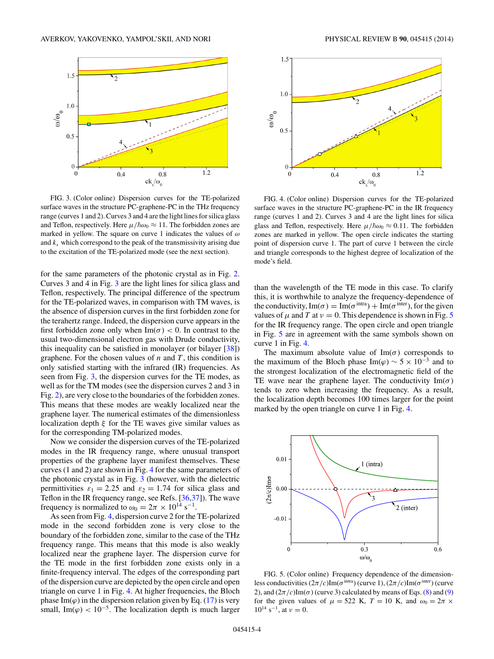<span id="page-3-0"></span>

FIG. 3. (Color online) Dispersion curves for the TE-polarized surface waves in the structure PC-graphene-PC in the THz frequency range (curves 1 and 2). Curves 3 and 4 are the light lines for silica glass and Teflon, respectively. Here  $\mu/\hbar\omega_0 \approx 11$ . The forbidden zones are marked in yellow. The square on curve 1 indicates the values of *ω* and  $k_x$  which correspond to the peak of the transmissivity arising due to the excitation of the TE-polarized mode (see the next section).

for the same parameters of the photonic crystal as in Fig. [2.](#page-2-0) Curves 3 and 4 in Fig. 3 are the light lines for silica glass and Teflon, respectively. The principal difference of the spectrum for the TE-polarized waves, in comparison with TM waves, is the absence of dispersion curves in the first forbidden zone for the terahertz range. Indeed, the dispersion curve appears in the first forbidden zone only when  $\text{Im}(\sigma) < 0$ . In contrast to the usual two-dimensional electron gas with Drude conductivity, this inequality can be satisfied in monolayer (or bilayer  $[38]$ ) graphene. For the chosen values of *n* and *T* , this condition is only satisfied starting with the infrared (IR) frequencies. As seen from Fig. 3, the dispersion curves for the TE modes, as well as for the TM modes (see the dispersion curves 2 and 3 in Fig. [2\)](#page-2-0), are very close to the boundaries of the forbidden zones. This means that these modes are weakly localized near the graphene layer. The numerical estimates of the dimensionless localization depth *ξ* for the TE waves give similar values as for the corresponding TM-polarized modes.

Now we consider the dispersion curves of the TE-polarized modes in the IR frequency range, where unusual transport properties of the graphene layer manifest themselves. These curves (1 and 2) are shown in Fig. 4 for the same parameters of the photonic crystal as in Fig. 3 (however, with the dielectric permittivities  $\varepsilon_1 = 2.25$  and  $\varepsilon_2 = 1.74$  for silica glass and Teflon in the IR frequency range, see Refs. [\[36,37\]](#page-6-0)). The wave frequency is normalized to  $\omega_0 = 2\pi \times 10^{14} \text{ s}^{-1}$ .

As seen from Fig. 4, dispersion curve 2 for the TE-polarized mode in the second forbidden zone is very close to the boundary of the forbidden zone, similar to the case of the THz frequency range. This means that this mode is also weakly localized near the graphene layer. The dispersion curve for the TE mode in the first forbidden zone exists only in a finite-frequency interval. The edges of the corresponding part of the dispersion curve are depicted by the open circle and open triangle on curve 1 in Fig. 4. At higher frequencies, the Bloch phase Im( $\varphi$ ) in the dispersion relation given by Eq. [\(17\)](#page-2-0) is very small, Im( $\varphi$ ) < 10<sup>-5</sup>. The localization depth is much larger



FIG. 4. (Color online) Dispersion curves for the TE-polarized surface waves in the structure PC-graphene-PC in the IR frequency range (curves 1 and 2). Curves 3 and 4 are the light lines for silica glass and Teflon, respectively. Here  $\mu/\hbar\omega_0 \approx 0.11$ . The forbidden zones are marked in yellow. The open circle indicates the starting point of dispersion curve 1. The part of curve 1 between the circle and triangle corresponds to the highest degree of localization of the mode's field.

than the wavelength of the TE mode in this case. To clarify this, it is worthwhile to analyze the frequency-dependence of the conductivity,  $\text{Im}(\sigma) = \text{Im}(\sigma^{\text{intra}}) + \text{Im}(\sigma^{\text{inter}})$ , for the given values of  $\mu$  and *T* at  $\nu = 0$ . This dependence is shown in Fig. 5 for the IR frequency range. The open circle and open triangle in Fig. 5 are in agreement with the same symbols shown on curve 1 in Fig. 4.

The maximum absolute value of  $\text{Im}(\sigma)$  corresponds to the maximum of the Bloch phase Im( $\varphi$ ) ~ 5 × 10<sup>-3</sup> and to the strongest localization of the electromagnetic field of the TE wave near the graphene layer. The conductivity  $Im(\sigma)$ tends to zero when increasing the frequency. As a result, the localization depth becomes 100 times larger for the point marked by the open triangle on curve 1 in Fig. 4.



FIG. 5. (Color online) Frequency dependence of the dimensionless conductivities  $(2\pi/c)$ Im( $\sigma$ <sup>intra</sup>) (curve 1),  $(2\pi/c)$ Im( $\sigma$ <sup>inter</sup>) (curve 2), and  $(2\pi/c)$ Im( $\sigma$ ) (curve 3) calculated by means of Eqs. [\(8\)](#page-1-0) and [\(9\)](#page-1-0) for the given values of  $\mu = 522$  K,  $T = 10$  K, and  $\omega_0 = 2\pi \times$  $10^{14}$  s<sup>-1</sup>, at  $\nu = 0$ .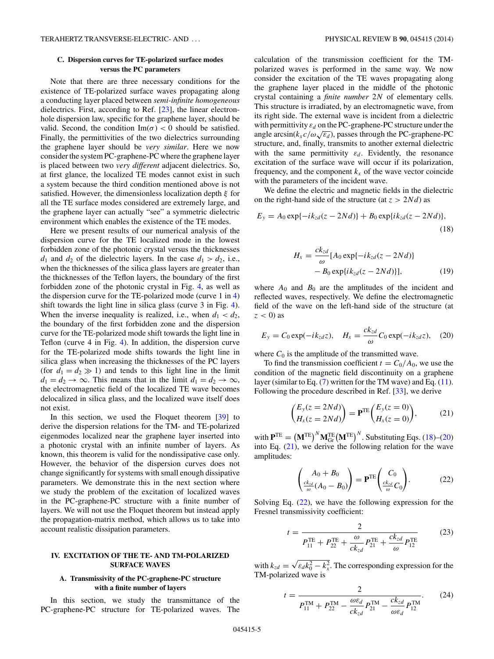# **C. Dispersion curves for TE-polarized surface modes versus the PC parameters**

Note that there are three necessary conditions for the existence of TE-polarized surface waves propagating along a conducting layer placed between *semi-infinite homogeneous* dielectrics. First, according to Ref. [\[23\]](#page-6-0), the linear electronhole dispersion law, specific for the graphene layer, should be valid. Second, the condition  $\text{Im}(\sigma) < 0$  should be satisfied. Finally, the permittivities of the two dielectrics surrounding the graphene layer should be *very similar*. Here we now consider the system PC-graphene-PC where the graphene layer is placed between two *very different* adjacent dielectrics. So, at first glance, the localized TE modes cannot exist in such a system because the third condition mentioned above is not satisfied. However, the dimensionless localization depth *ξ* for all the TE surface modes considered are extremely large, and the graphene layer can actually "see" a symmetric dielectric environment which enables the existence of the TE modes.

Here we present results of our numerical analysis of the dispersion curve for the TE localized mode in the lowest forbidden zone of the photonic crystal versus the thicknesses  $d_1$  and  $d_2$  of the dielectric layers. In the case  $d_1 > d_2$ , i.e., when the thicknesses of the silica glass layers are greater than the thicknesses of the Teflon layers, the boundary of the first forbidden zone of the photonic crystal in Fig. [4,](#page-3-0) as well as the dispersion curve for the TE-polarized mode (curve  $1$  in  $4$ ) shift towards the light line in silica glass (curve 3 in Fig. [4\)](#page-3-0). When the inverse inequality is realized, i.e., when  $d_1 < d_2$ , the boundary of the first forbidden zone and the dispersion curve for the TE-polarized mode shift towards the light line in Teflon (curve 4 in Fig. [4\)](#page-3-0). In addition, the dispersion curve for the TE-polarized mode shifts towards the light line in silica glass when increasing the thicknesses of the PC layers (for  $d_1 = d_2 \gg 1$ ) and tends to this light line in the limit  $d_1 = d_2 \rightarrow \infty$ . This means that in the limit  $d_1 = d_2 \rightarrow \infty$ , the electromagnetic field of the localized TE wave becomes delocalized in silica glass, and the localized wave itself does not exist.

In this section, we used the Floquet theorem [\[39\]](#page-6-0) to derive the dispersion relations for the TM- and TE-polarized eigenmodes localized near the graphene layer inserted into a photonic crystal with an infinite number of layers. As known, this theorem is valid for the nondissipative case only. However, the behavior of the dispersion curves does not change significantly for systems with small enough dissipative parameters. We demonstrate this in the next section where we study the problem of the excitation of localized waves in the PC-graphene-PC structure with a finite number of layers. We will not use the Floquet theorem but instead apply the propagation-matrix method, which allows us to take into account realistic dissipation parameters.

# **IV. EXCITATION OF THE TE- AND TM-POLARIZED SURFACE WAVES**

# **A. Transmissivity of the PC-graphene-PC structure with a finite number of layers**

In this section, we study the transmittance of the PC-graphene-PC structure for TE-polarized waves. The calculation of the transmission coefficient for the TMpolarized waves is performed in the same way. We now consider the excitation of the TE waves propagating along the graphene layer placed in the middle of the photonic crystal containing a *finite number* 2*N* of elementary cells. This structure is irradiated, by an electromagnetic wave, from its right side. The external wave is incident from a dielectric with permittivity  $\varepsilon_d$  on the PC-graphene-PC structure under the angle  $\arcsin(k_x c/\omega \sqrt{\varepsilon_d})$ , passes through the PC-graphene-PC structure, and, finally, transmits to another external dielectric with the same permittivity  $\varepsilon_d$ . Evidently, the resonance excitation of the surface wave will occur if its polarization, frequency, and the component  $k_x$  of the wave vector coincide with the parameters of the incident wave.

We define the electric and magnetic fields in the dielectric on the right-hand side of the structure (at  $z > 2Nd$ ) as

$$
E_y = A_0 \exp\{-ik_{zd}(z - 2Nd)\} + B_0 \exp\{ik_{zd}(z - 2Nd)\},\tag{18}
$$

$$
H_x = \frac{ck_{zd}}{\omega} [A_0 \exp\{-ik_{zd}(z - 2Nd)\}\n- B_0 \exp\{ik_{zd}(z - 2Nd)\}],
$$
\n(19)

where  $A_0$  and  $B_0$  are the amplitudes of the incident and reflected waves, respectively. We define the electromagnetic field of the wave on the left-hand side of the structure (at  $z < 0$ ) as

$$
E_y = C_0 \exp(-ik_{zd}z), \quad H_x = \frac{ck_{zd}}{\omega} C_0 \exp(-ik_{zd}z), \quad (20)
$$

where  $C_0$  is the amplitude of the transmitted wave.

To find the transmission coefficient  $t = C_0/A_0$ , we use the condition of the magnetic field discontinuity on a graphene layer (similar to Eq.  $(7)$  written for the TM wave) and Eq.  $(11)$ . Following the procedure described in Ref. [\[33\]](#page-6-0), we derive

$$
\begin{pmatrix} E_y(z=2Nd) \\ H_x(z=2Nd) \end{pmatrix} = \mathbf{P}^{TE} \begin{pmatrix} E_y(z=0) \\ H_x(z=0) \end{pmatrix}, \tag{21}
$$

with  $\mathbf{P}^{\text{TE}} = (\mathbf{M}^{\text{TE}})^N \mathbf{M}_{\text{Gr}}^{\text{TE}} (\mathbf{M}^{\text{TE}})^N$ . Substituting Eqs. (18)–(20) into Eq.  $(21)$ , we derive the following relation for the wave amplitudes:

$$
\begin{pmatrix} A_0 + B_0 \ \frac{c k_{zd}}{\omega} (A_0 - B_0) \end{pmatrix} = \mathbf{P}^{TE} \begin{pmatrix} C_0 \ \frac{c k_{zd}}{\omega} C_0 \end{pmatrix}.
$$
 (22)

Solving Eq.  $(22)$ , we have the following expression for the Fresnel transmissivity coefficient:

$$
t = \frac{2}{P_{11}^{\text{TE}} + P_{22}^{\text{TE}} + \frac{\omega}{ck_{zd}} P_{21}^{\text{TE}} + \frac{ck_{zd}}{\omega} P_{12}^{\text{TE}}} \tag{23}
$$

with  $k_{zd} = \sqrt{\epsilon_d k_0^2 - k_x^2}$ . The corresponding expression for the TM-polarized wave is

$$
t = \frac{2}{P_{11}^{TM} + P_{22}^{TM} - \frac{\omega \varepsilon_d}{c k_{zd}} P_{21}^{TM} - \frac{c k_{zd}}{\omega \varepsilon_d} P_{12}^{TM}}.
$$
 (24)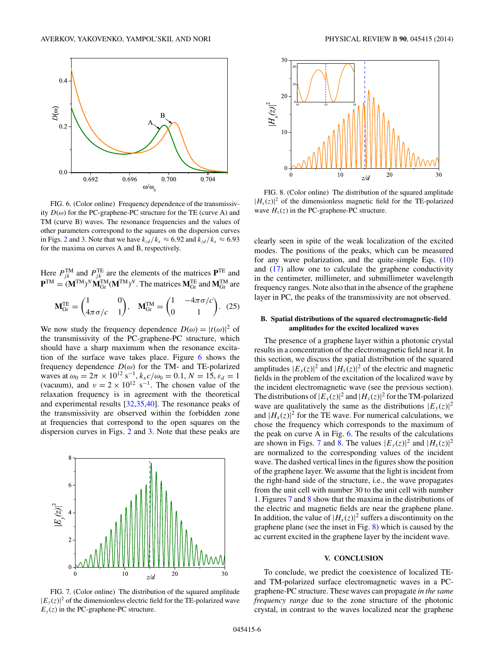

FIG. 6. (Color online) Frequency dependence of the transmissivity  $D(\omega)$  for the PC-graphene-PC structure for the TE (curve A) and TM (curve B) waves. The resonance frequencies and the values of other parameters correspond to the squares on the dispersion curves in Figs. [2](#page-2-0) and [3.](#page-3-0) Note that we have  $k_{z/d}/k_x \approx 6.92$  and  $k_{z/d}/k_x \approx 6.93$ for the maxima on curves A and B, respectively.

Here  $P_{jk}^{TM}$  and  $P_{jk}^{TE}$  are the elements of the matrices  $P^{TE}$  and  ${\bf P}^{TM} = ({\bf M}^{TM})^N {\bf M}_{Gr}^{TM} ({\bf M}^{TM})^N$ . The matrices  ${\bf M}_{Gr}^{TE}$  and  ${\bf M}_{Gr}^{TM}$  are

$$
\mathbf{M}_{\text{Gr}}^{\text{TE}} = \begin{pmatrix} 1 & 0 \\ 4\pi\sigma/c & 1 \end{pmatrix}, \quad \mathbf{M}_{\text{Gr}}^{\text{TM}} = \begin{pmatrix} 1 & -4\pi\sigma/c \\ 0 & 1 \end{pmatrix}. \tag{25}
$$

We now study the frequency dependence  $D(\omega) = |t(\omega)|^2$  of the transmissivity of the PC-graphene-PC structure, which should have a sharp maximum when the resonance excitation of the surface wave takes place. Figure 6 shows the frequency dependence  $D(\omega)$  for the TM- and TE-polarized waves at  $\omega_0 = 2\pi \times 10^{12} \text{ s}^{-1}$ ,  $k_x c/\omega_0 = 0.1$ ,  $N = 15$ ,  $\varepsilon_d = 1$ (vacuum), and  $v = 2 \times 10^{12} \text{ s}^{-1}$ . The chosen value of the relaxation frequency is in agreement with the theoretical and experimental results [\[32,35,40\]](#page-6-0). The resonance peaks of the transmissivity are observed within the forbidden zone at frequencies that correspond to the open squares on the dispersion curves in Figs. [2](#page-2-0) and [3.](#page-3-0) Note that these peaks are







FIG. 8. (Color online) The distribution of the squared amplitude  $|H_x(z)|^2$  of the dimensionless magnetic field for the TE-polarized wave  $H<sub>x</sub>(z)$  in the PC-graphene-PC structure.

clearly seen in spite of the weak localization of the excited modes. The positions of the peaks, which can be measured for any wave polarization, and the quite-simple Eqs. [\(10\)](#page-1-0) and [\(17\)](#page-2-0) allow one to calculate the graphene conductivity in the centimeter, millimeter, and submillimeter wavelength frequency ranges. Note also that in the absence of the graphene layer in PC, the peaks of the transmissivity are not observed.

### **B. Spatial distributions of the squared electromagnetic-field amplitudes for the excited localized waves**

The presence of a graphene layer within a photonic crystal results in a concentration of the electromagnetic field near it. In this section, we discuss the spatial distribution of the squared amplitudes  $|E_y(z)|^2$  and  $|H_x(z)|^2$  of the electric and magnetic fields in the problem of the excitation of the localized wave by the incident electromagnetic wave (see the previous section). The distributions of  $|E_x(z)|^2$  and  $|H_y(z)|^2$  for the TM-polarized wave are qualitatively the same as the distributions  $|E_y(z)|^2$ and  $|H_x(z)|^2$  for the TE wave. For numerical calculations, we chose the frequency which corresponds to the maximum of the peak on curve A in Fig. 6. The results of the calculations are shown in Figs. 7 and 8. The values  $|E_y(z)|^2$  and  $|H_x(z)|^2$ are normalized to the corresponding values of the incident wave. The dashed vertical lines in the figures show the position of the graphene layer. We assume that the light is incident from the right-hand side of the structure, i.e., the wave propagates from the unit cell with number 30 to the unit cell with number 1. Figures 7 and 8 show that the maxima in the distributions of the electric and magnetic fields are near the graphene plane. In addition, the value of  $|H_x(z)|^2$  suffers a discontinuity on the graphene plane (see the inset in Fig. 8) which is caused by the ac current excited in the graphene layer by the incident wave.

# **V. CONCLUSION**

To conclude, we predict the coexistence of localized TEand TM-polarized surface electromagnetic waves in a PCgraphene-PC structure. These waves can propagate *in the same frequency range* due to the zone structure of the photonic crystal, in contrast to the waves localized near the graphene